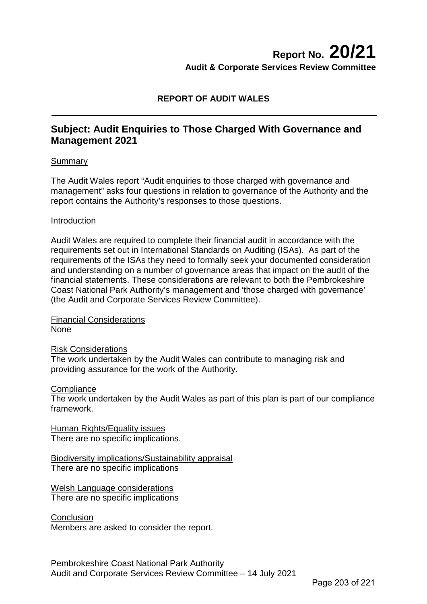# **Report No. 20/21 Audit & Corporate Services Review Committee**

## **REPORT OF AUDIT WALES**

## **Subject: Audit Enquiries to Those Charged With Governance and Management 2021**

### **Summary**

The Audit Wales report "Audit enquiries to those charged with governance and management" asks four questions in relation to governance of the Authority and the report contains the Authority's responses to those questions.

#### Introduction

Audit Wales are required to complete their financial audit in accordance with the requirements set out in International Standards on Auditing (ISAs). As part of the requirements of the ISAs they need to formally seek your documented consideration and understanding on a number of governance areas that impact on the audit of the financial statements. These considerations are relevant to both the Pembrokeshire Coast National Park Authority's management and 'those charged with governance' (the Audit and Corporate Services Review Committee).

Financial Considerations None

Risk Considerations

The work undertaken by the Audit Wales can contribute to managing risk and providing assurance for the work of the Authority.

#### **Compliance**

The work undertaken by the Audit Wales as part of this plan is part of our compliance framework.

Human Rights/Equality issues There are no specific implications.

Biodiversity implications/Sustainability appraisal There are no specific implications

Welsh Language considerations There are no specific implications

**Conclusion** Members are asked to consider the report.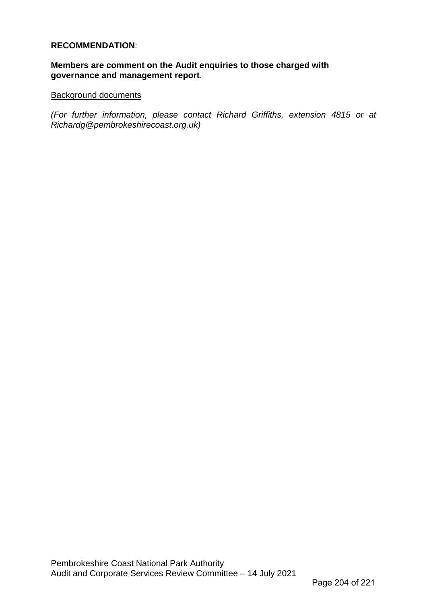## **RECOMMENDATION**:

## **Members are comment on the Audit enquiries to those charged with governance and management report**.

#### Background documents

*(For further information, please contact Richard Griffiths, extension 4815 or at Richardg@pembrokeshirecoast.org.uk)*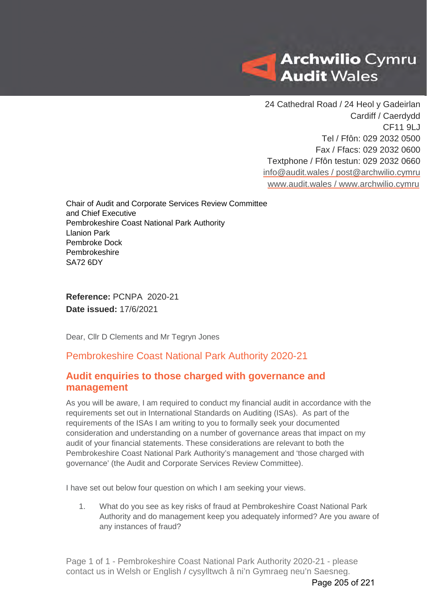

24 Cathedral Road / 24 Heol y Gadeirlan Cardiff / Caerdydd CF11 9LJ Tel / Ffôn: 029 2032 0500 Fax / Ffacs: 029 2032 0600 Textphone / Ffôn testun: 029 2032 0660 [info@audit.wales](mailto:info@audit.wales) / post@archwilio.cymru [www.audit.wales](http://www.audit.wales/) / [www.archwilio.cymru](http://www.archwilio.cymru/)

Chair of Audit and Corporate Services Review Committee and Chief Executive Pembrokeshire Coast National Park Authority Llanion Park Pembroke Dock Pembrokeshire SA72 6DY

**Reference:** PCNPA 2020-21 **Date issued:** 17/6/2021

Dear, Cllr D Clements and Mr Tegryn Jones

## Pembrokeshire Coast National Park Authority 2020-21

## **Audit enquiries to those charged with governance and management**

As you will be aware, I am required to conduct my financial audit in accordance with the requirements set out in International Standards on Auditing (ISAs). As part of the requirements of the ISAs I am writing to you to formally seek your documented consideration and understanding on a number of governance areas that impact on my audit of your financial statements. These considerations are relevant to both the Pembrokeshire Coast National Park Authority's management and 'those charged with governance' (the Audit and Corporate Services Review Committee).

I have set out below four question on which I am seeking your views.

1. What do you see as key risks of fraud at Pembrokeshire Coast National Park Authority and do management keep you adequately informed? Are you aware of any instances of fraud?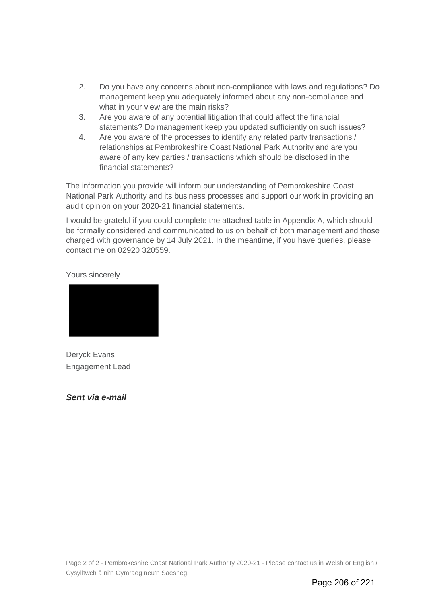- 2. Do you have any concerns about non-compliance with laws and regulations? Do management keep you adequately informed about any non-compliance and what in your view are the main risks?
- 3. Are you aware of any potential litigation that could affect the financial statements? Do management keep you updated sufficiently on such issues?
- 4. Are you aware of the processes to identify any related party transactions / relationships at Pembrokeshire Coast National Park Authority and are you aware of any key parties / transactions which should be disclosed in the financial statements?

The information you provide will inform our understanding of Pembrokeshire Coast National Park Authority and its business processes and support our work in providing an audit opinion on your 2020-21 financial statements.

I would be grateful if you could complete the attached table in Appendix A, which should be formally considered and communicated to us on behalf of both management and those charged with governance by 14 July 2021. In the meantime, if you have queries, please contact me on 02920 320559.

Yours sincerely



Deryck Evans Engagement Lead

*Sent via e-mail*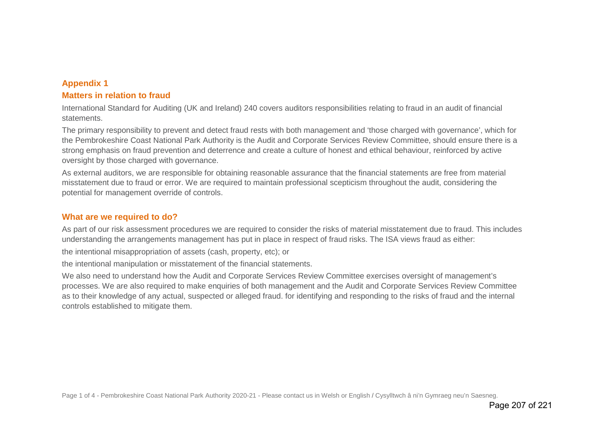## **Appendix 1 Matters in relation to fraud**

International Standard for Auditing (UK and Ireland) 240 covers auditors responsibilities relating to fraud in an audit of financial statements.

The primary responsibility to prevent and detect fraud rests with both management and 'those charged with governance', which for the Pembrokeshire Coast National Park Authority is the Audit and Corporate Services Review Committee, should ensure there is a strong emphasis on fraud prevention and deterrence and create a culture of honest and ethical behaviour, reinforced by active oversight by those charged with governance.

As external auditors, we are responsible for obtaining reasonable assurance that the financial statements are free from material misstatement due to fraud or error. We are required to maintain professional scepticism throughout the audit, considering the potential for management override of controls.

## **What are we required to do?**

As part of our risk assessment procedures we are required to consider the risks of material misstatement due to fraud. This includes understanding the arrangements management has put in place in respect of fraud risks. The ISA views fraud as either:

the intentional misappropriation of assets (cash, property, etc); or

the intentional manipulation or misstatement of the financial statements.

We also need to understand how the Audit and Corporate Services Review Committee exercises oversight of management's processes. We are also required to make enquiries of both management and the Audit and Corporate Services Review Committee as to their knowledge of any actual, suspected or alleged fraud. for identifying and responding to the risks of fraud and the internal controls established to mitigate them.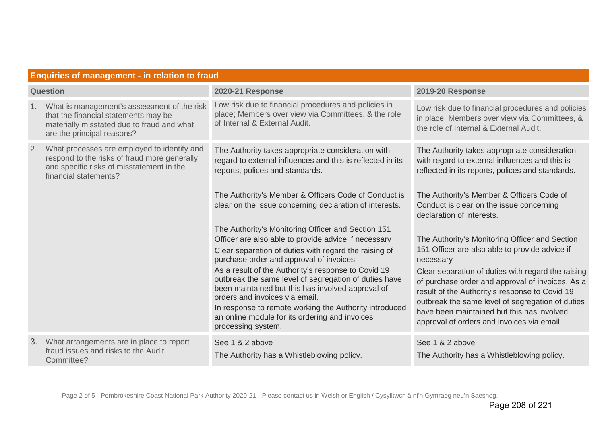|          | <b>Enquiries of management - in relation to fraud</b>                                                                                                             |                                                                                                                                                                                                                                                                                                                                                                                                                        |                                                                                                                                                                                                                                                                                                                               |  |
|----------|-------------------------------------------------------------------------------------------------------------------------------------------------------------------|------------------------------------------------------------------------------------------------------------------------------------------------------------------------------------------------------------------------------------------------------------------------------------------------------------------------------------------------------------------------------------------------------------------------|-------------------------------------------------------------------------------------------------------------------------------------------------------------------------------------------------------------------------------------------------------------------------------------------------------------------------------|--|
| Question |                                                                                                                                                                   | <b>2020-21 Response</b>                                                                                                                                                                                                                                                                                                                                                                                                | 2019-20 Response                                                                                                                                                                                                                                                                                                              |  |
| 1.       | What is management's assessment of the risk<br>that the financial statements may be<br>materially misstated due to fraud and what<br>are the principal reasons?   | Low risk due to financial procedures and policies in<br>place; Members over view via Committees, & the role<br>of Internal & External Audit.                                                                                                                                                                                                                                                                           | Low risk due to financial procedures and policies<br>in place; Members over view via Committees, &<br>the role of Internal & External Audit.                                                                                                                                                                                  |  |
| 2.       | What processes are employed to identify and<br>respond to the risks of fraud more generally<br>and specific risks of misstatement in the<br>financial statements? | The Authority takes appropriate consideration with<br>regard to external influences and this is reflected in its<br>reports, polices and standards.                                                                                                                                                                                                                                                                    | The Authority takes appropriate consideration<br>with regard to external influences and this is<br>reflected in its reports, polices and standards.                                                                                                                                                                           |  |
|          |                                                                                                                                                                   | The Authority's Member & Officers Code of Conduct is<br>clear on the issue concerning declaration of interests.                                                                                                                                                                                                                                                                                                        | The Authority's Member & Officers Code of<br>Conduct is clear on the issue concerning<br>declaration of interests.                                                                                                                                                                                                            |  |
|          |                                                                                                                                                                   | The Authority's Monitoring Officer and Section 151<br>Officer are also able to provide advice if necessary<br>Clear separation of duties with regard the raising of<br>purchase order and approval of invoices.<br>As a result of the Authority's response to Covid 19<br>outbreak the same level of segregation of duties have<br>been maintained but this has involved approval of<br>orders and invoices via email. | The Authority's Monitoring Officer and Section<br>151 Officer are also able to provide advice if<br>necessary<br>Clear separation of duties with regard the raising<br>of purchase order and approval of invoices. As a<br>result of the Authority's response to Covid 19<br>outbreak the same level of segregation of duties |  |
|          |                                                                                                                                                                   | In response to remote working the Authority introduced<br>an online module for its ordering and invoices<br>processing system.                                                                                                                                                                                                                                                                                         | have been maintained but this has involved<br>approval of orders and invoices via email.                                                                                                                                                                                                                                      |  |
| 3.       | What arrangements are in place to report<br>fraud issues and risks to the Audit<br>Committee?                                                                     | See 1 & 2 above<br>The Authority has a Whistleblowing policy.                                                                                                                                                                                                                                                                                                                                                          | See 1 & 2 above<br>The Authority has a Whistleblowing policy.                                                                                                                                                                                                                                                                 |  |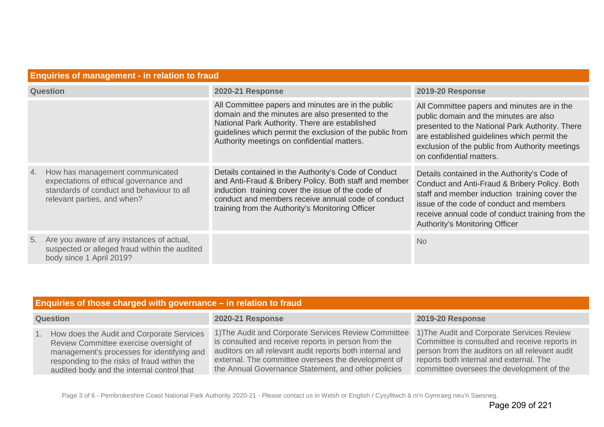| <b>Enquiries of management - in relation to fraud</b>                                                                                                       |                                                                                                                                                                                                                                                                               |                                                                                                                                                                                                                                                                                  |  |
|-------------------------------------------------------------------------------------------------------------------------------------------------------------|-------------------------------------------------------------------------------------------------------------------------------------------------------------------------------------------------------------------------------------------------------------------------------|----------------------------------------------------------------------------------------------------------------------------------------------------------------------------------------------------------------------------------------------------------------------------------|--|
| <b>Question</b>                                                                                                                                             | <b>2020-21 Response</b>                                                                                                                                                                                                                                                       | <b>2019-20 Response</b>                                                                                                                                                                                                                                                          |  |
|                                                                                                                                                             | All Committee papers and minutes are in the public<br>domain and the minutes are also presented to the<br>National Park Authority. There are established<br>guidelines which permit the exclusion of the public from<br>Authority meetings on confidential matters.           | All Committee papers and minutes are in the<br>public domain and the minutes are also<br>presented to the National Park Authority. There<br>are established guidelines which permit the<br>exclusion of the public from Authority meetings<br>on confidential matters.           |  |
| How has management communicated<br>4.<br>expectations of ethical governance and<br>standards of conduct and behaviour to all<br>relevant parties, and when? | Details contained in the Authority's Code of Conduct<br>and Anti-Fraud & Bribery Policy. Both staff and member<br>induction training cover the issue of the code of<br>conduct and members receive annual code of conduct<br>training from the Authority's Monitoring Officer | Details contained in the Authority's Code of<br>Conduct and Anti-Fraud & Bribery Policy. Both<br>staff and member induction training cover the<br>issue of the code of conduct and members<br>receive annual code of conduct training from the<br>Authority's Monitoring Officer |  |
| Are you aware of any instances of actual,<br>5.<br>suspected or alleged fraud within the audited<br>body since 1 April 2019?                                |                                                                                                                                                                                                                                                                               | <b>No</b>                                                                                                                                                                                                                                                                        |  |

| Enquiries of those charged with governance – in relation to fraud |                                                                                                                                                                                                                                |                                                                                                                                                                                                                                                                                       |                                                                                                                                                                                                                                       |
|-------------------------------------------------------------------|--------------------------------------------------------------------------------------------------------------------------------------------------------------------------------------------------------------------------------|---------------------------------------------------------------------------------------------------------------------------------------------------------------------------------------------------------------------------------------------------------------------------------------|---------------------------------------------------------------------------------------------------------------------------------------------------------------------------------------------------------------------------------------|
| <b>Question</b>                                                   |                                                                                                                                                                                                                                | <b>2020-21 Response</b>                                                                                                                                                                                                                                                               | <b>2019-20 Response</b>                                                                                                                                                                                                               |
|                                                                   | How does the Audit and Corporate Services<br>Review Committee exercise oversight of<br>management's processes for identifying and<br>responding to the risks of fraud within the<br>audited body and the internal control that | 1) The Audit and Corporate Services Review Committee<br>is consulted and receive reports in person from the<br>auditors on all relevant audit reports both internal and<br>external. The committee oversees the development of<br>the Annual Governance Statement, and other policies | 1) The Audit and Corporate Services Review<br>Committee is consulted and receive reports in<br>person from the auditors on all relevant audit<br>reports both internal and external. The<br>committee oversees the development of the |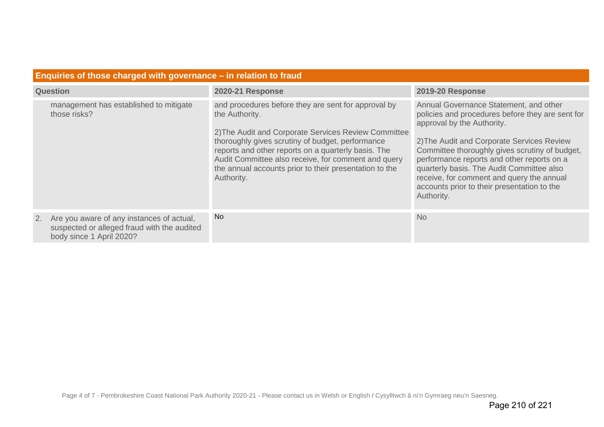| Enquiries of those charged with governance $-$ in relation to fraud |                                                                                                                      |                                                                                                                                                                                                                                                                                                                                                                         |                                                                                                                                                                                                                                                                                                                                                                                                                               |
|---------------------------------------------------------------------|----------------------------------------------------------------------------------------------------------------------|-------------------------------------------------------------------------------------------------------------------------------------------------------------------------------------------------------------------------------------------------------------------------------------------------------------------------------------------------------------------------|-------------------------------------------------------------------------------------------------------------------------------------------------------------------------------------------------------------------------------------------------------------------------------------------------------------------------------------------------------------------------------------------------------------------------------|
| <b>Question</b>                                                     |                                                                                                                      | <b>2020-21 Response</b>                                                                                                                                                                                                                                                                                                                                                 | <b>2019-20 Response</b>                                                                                                                                                                                                                                                                                                                                                                                                       |
|                                                                     | management has established to mitigate<br>those risks?                                                               | and procedures before they are sent for approval by<br>the Authority.<br>2) The Audit and Corporate Services Review Committee<br>thoroughly gives scrutiny of budget, performance<br>reports and other reports on a quarterly basis. The<br>Audit Committee also receive, for comment and query<br>the annual accounts prior to their presentation to the<br>Authority. | Annual Governance Statement, and other<br>policies and procedures before they are sent for<br>approval by the Authority.<br>2) The Audit and Corporate Services Review<br>Committee thoroughly gives scrutiny of budget,<br>performance reports and other reports on a<br>quarterly basis. The Audit Committee also<br>receive, for comment and query the annual<br>accounts prior to their presentation to the<br>Authority. |
| 2.                                                                  | Are you aware of any instances of actual,<br>suspected or alleged fraud with the audited<br>body since 1 April 2020? | <b>No</b>                                                                                                                                                                                                                                                                                                                                                               | <b>No</b>                                                                                                                                                                                                                                                                                                                                                                                                                     |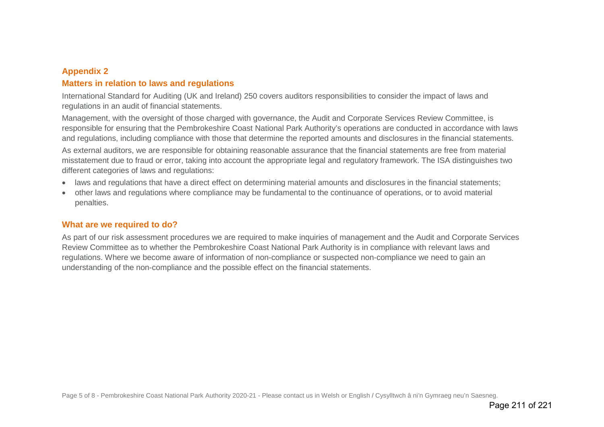## **Appendix 2**

## **Matters in relation to laws and regulations**

International Standard for Auditing (UK and Ireland) 250 covers auditors responsibilities to consider the impact of laws and regulations in an audit of financial statements.

Management, with the oversight of those charged with governance, the Audit and Corporate Services Review Committee, is responsible for ensuring that the Pembrokeshire Coast National Park Authority's operations are conducted in accordance with laws and regulations, including compliance with those that determine the reported amounts and disclosures in the financial statements. As external auditors, we are responsible for obtaining reasonable assurance that the financial statements are free from material misstatement due to fraud or error, taking into account the appropriate legal and regulatory framework. The ISA distinguishes two different categories of laws and regulations:

- laws and regulations that have a direct effect on determining material amounts and disclosures in the financial statements;
- other laws and regulations where compliance may be fundamental to the continuance of operations, or to avoid material penalties.

## **What are we required to do?**

As part of our risk assessment procedures we are required to make inquiries of management and the Audit and Corporate Services Review Committee as to whether the Pembrokeshire Coast National Park Authority is in compliance with relevant laws and regulations. Where we become aware of information of non-compliance or suspected non-compliance we need to gain an understanding of the non-compliance and the possible effect on the financial statements.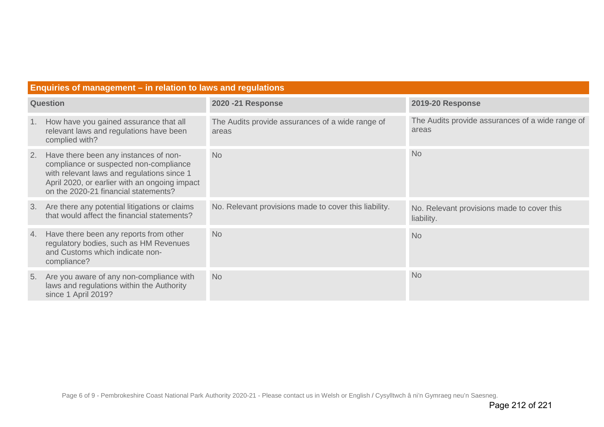| <b>2020 -21 Response</b><br><b>Question</b>                                                                                                                                                                                               | <b>2019-20 Response</b>                                   |
|-------------------------------------------------------------------------------------------------------------------------------------------------------------------------------------------------------------------------------------------|-----------------------------------------------------------|
| The Audits provide assurances of a wide range of<br>How have you gained assurance that all<br>1.<br>relevant laws and regulations have been<br>areas<br>complied with?                                                                    | The Audits provide assurances of a wide range of<br>areas |
| Have there been any instances of non-<br><b>No</b><br>2.<br>compliance or suspected non-compliance<br>with relevant laws and regulations since 1<br>April 2020, or earlier with an ongoing impact<br>on the 2020-21 financial statements? | <b>No</b>                                                 |
| No. Relevant provisions made to cover this liability.<br>Are there any potential litigations or claims<br>3.<br>that would affect the financial statements?                                                                               | No. Relevant provisions made to cover this<br>liability.  |
| Have there been any reports from other<br><b>No</b><br>4.<br>regulatory bodies, such as HM Revenues<br>and Customs which indicate non-<br>compliance?                                                                                     | <b>No</b>                                                 |
| Are you aware of any non-compliance with<br><b>No</b><br>5.<br>laws and regulations within the Authority<br>since 1 April 2019?                                                                                                           | <b>No</b>                                                 |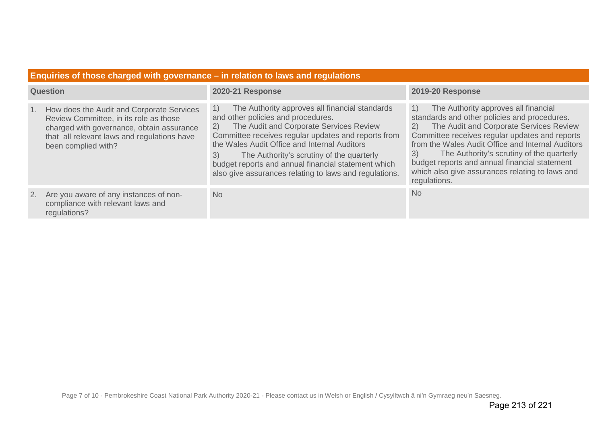| Enquiries of those charged with governance – in relation to laws and regulations |                                                                                                                                                                                                        |                                                                                                                                                                                                                                                                                                                                                                                                                        |                                                                                                                                                                                                                                                                                                                                                                                                                           |
|----------------------------------------------------------------------------------|--------------------------------------------------------------------------------------------------------------------------------------------------------------------------------------------------------|------------------------------------------------------------------------------------------------------------------------------------------------------------------------------------------------------------------------------------------------------------------------------------------------------------------------------------------------------------------------------------------------------------------------|---------------------------------------------------------------------------------------------------------------------------------------------------------------------------------------------------------------------------------------------------------------------------------------------------------------------------------------------------------------------------------------------------------------------------|
| <b>Question</b>                                                                  |                                                                                                                                                                                                        | <b>2020-21 Response</b>                                                                                                                                                                                                                                                                                                                                                                                                | <b>2019-20 Response</b>                                                                                                                                                                                                                                                                                                                                                                                                   |
|                                                                                  | How does the Audit and Corporate Services<br>Review Committee, in its role as those<br>charged with governance, obtain assurance<br>that all relevant laws and regulations have<br>been complied with? | The Authority approves all financial standards<br>1)<br>and other policies and procedures.<br>The Audit and Corporate Services Review<br>2)<br>Committee receives regular updates and reports from<br>the Wales Audit Office and Internal Auditors<br>The Authority's scrutiny of the quarterly<br>3)<br>budget reports and annual financial statement which<br>also give assurances relating to laws and regulations. | The Authority approves all financial<br>1)<br>standards and other policies and procedures.<br>The Audit and Corporate Services Review<br>2)<br>Committee receives regular updates and reports<br>from the Wales Audit Office and Internal Auditors<br>The Authority's scrutiny of the quarterly<br>3)<br>budget reports and annual financial statement<br>which also give assurances relating to laws and<br>regulations. |
|                                                                                  | 2. Are you aware of any instances of non-<br>compliance with relevant laws and<br>regulations?                                                                                                         | <b>No</b>                                                                                                                                                                                                                                                                                                                                                                                                              | <b>No</b>                                                                                                                                                                                                                                                                                                                                                                                                                 |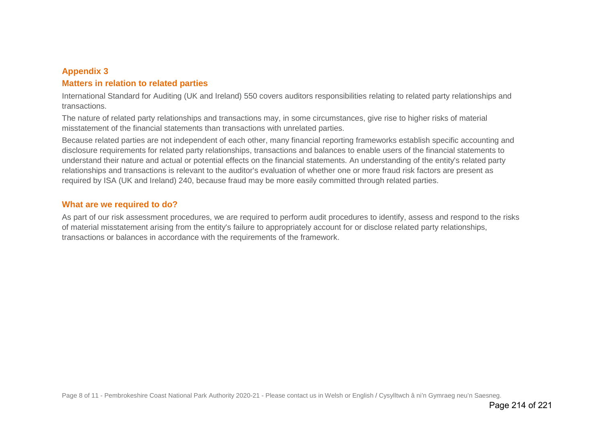## **Appendix 3**

## **Matters in relation to related parties**

International Standard for Auditing (UK and Ireland) 550 covers auditors responsibilities relating to related party relationships and transactions.

The nature of related party relationships and transactions may, in some circumstances, give rise to higher risks of material misstatement of the financial statements than transactions with unrelated parties.

Because related parties are not independent of each other, many financial reporting frameworks establish specific accounting and disclosure requirements for related party relationships, transactions and balances to enable users of the financial statements to understand their nature and actual or potential effects on the financial statements. An understanding of the entity's related party relationships and transactions is relevant to the auditor's evaluation of whether one or more fraud risk factors are present as required by ISA (UK and Ireland) 240, because fraud may be more easily committed through related parties.

## **What are we required to do?**

As part of our risk assessment procedures, we are required to perform audit procedures to identify, assess and respond to the risks of material misstatement arising from the entity's failure to appropriately account for or disclose related party relationships, transactions or balances in accordance with the requirements of the framework.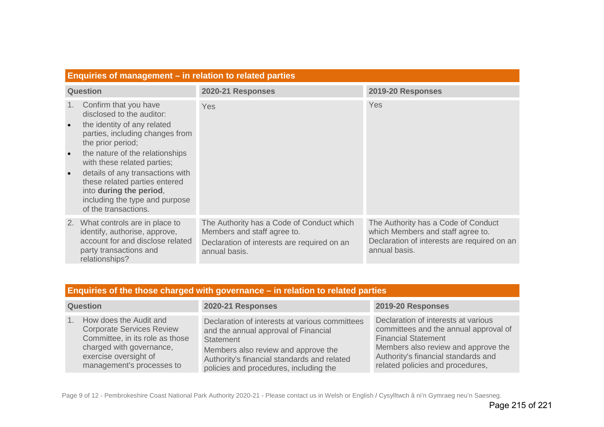|                 | Enquiries of management – in relation to related parties                                                                                                                                                                                                                                                                                                              |                                                                                                                                          |                                                                                                                                          |  |
|-----------------|-----------------------------------------------------------------------------------------------------------------------------------------------------------------------------------------------------------------------------------------------------------------------------------------------------------------------------------------------------------------------|------------------------------------------------------------------------------------------------------------------------------------------|------------------------------------------------------------------------------------------------------------------------------------------|--|
| <b>Question</b> |                                                                                                                                                                                                                                                                                                                                                                       | 2020-21 Responses                                                                                                                        | 2019-20 Responses                                                                                                                        |  |
| 1.<br>$\bullet$ | Confirm that you have<br>disclosed to the auditor:<br>the identity of any related<br>parties, including changes from<br>the prior period;<br>the nature of the relationships<br>with these related parties;<br>details of any transactions with<br>these related parties entered<br>into during the period,<br>including the type and purpose<br>of the transactions. | Yes                                                                                                                                      | Yes                                                                                                                                      |  |
| 2.              | What controls are in place to<br>identify, authorise, approve,<br>account for and disclose related<br>party transactions and<br>relationships?                                                                                                                                                                                                                        | The Authority has a Code of Conduct which<br>Members and staff agree to.<br>Declaration of interests are required on an<br>annual basis. | The Authority has a Code of Conduct<br>which Members and staff agree to.<br>Declaration of interests are required on an<br>annual basis. |  |

| Enquiries of the those charged with governance - in relation to related parties |
|---------------------------------------------------------------------------------|
|---------------------------------------------------------------------------------|

| <b>Question</b>                                                                                                                                                                                   | 2020-21 Responses                                                                                                                                                                                                                   | 2019-20 Responses                                                                                                                                                                                                            |
|---------------------------------------------------------------------------------------------------------------------------------------------------------------------------------------------------|-------------------------------------------------------------------------------------------------------------------------------------------------------------------------------------------------------------------------------------|------------------------------------------------------------------------------------------------------------------------------------------------------------------------------------------------------------------------------|
| How does the Audit and<br>1 <sup>1</sup><br><b>Corporate Services Review</b><br>Committee, in its role as those<br>charged with governance,<br>exercise oversight of<br>management's processes to | Declaration of interests at various committees<br>and the annual approval of Financial<br>Statement<br>Members also review and approve the<br>Authority's financial standards and related<br>policies and procedures, including the | Declaration of interests at various<br>committees and the annual approval of<br><b>Financial Statement</b><br>Members also review and approve the<br>Authority's financial standards and<br>related policies and procedures, |